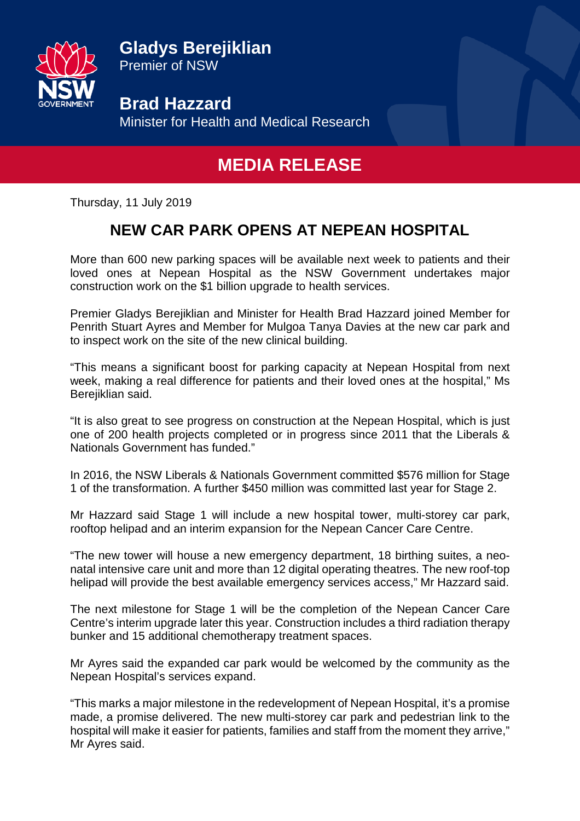

**Gladys Berejiklian** Premier of NSW

**Brad Hazzard** Minister for Health and Medical Research

## **MEDIA RELEASE**

Thursday, 11 July 2019

## **NEW CAR PARK OPENS AT NEPEAN HOSPITAL**

More than 600 new parking spaces will be available next week to patients and their loved ones at Nepean Hospital as the NSW Government undertakes major construction work on the \$1 billion upgrade to health services.

Premier Gladys Berejiklian and Minister for Health Brad Hazzard joined Member for Penrith Stuart Ayres and Member for Mulgoa Tanya Davies at the new car park and to inspect work on the site of the new clinical building.

"This means a significant boost for parking capacity at Nepean Hospital from next week, making a real difference for patients and their loved ones at the hospital," Ms Berejiklian said.

"It is also great to see progress on construction at the Nepean Hospital, which is just one of 200 health projects completed or in progress since 2011 that the Liberals & Nationals Government has funded."

In 2016, the NSW Liberals & Nationals Government committed \$576 million for Stage 1 of the transformation. A further \$450 million was committed last year for Stage 2.

Mr Hazzard said Stage 1 will include a new hospital tower, multi-storey car park, rooftop helipad and an interim expansion for the Nepean Cancer Care Centre.

"The new tower will house a new emergency department, 18 birthing suites, a neonatal intensive care unit and more than 12 digital operating theatres. The new roof-top helipad will provide the best available emergency services access," Mr Hazzard said.

The next milestone for Stage 1 will be the completion of the Nepean Cancer Care Centre's interim upgrade later this year. Construction includes a third radiation therapy bunker and 15 additional chemotherapy treatment spaces.

Mr Ayres said the expanded car park would be welcomed by the community as the Nepean Hospital's services expand.

"This marks a major milestone in the redevelopment of Nepean Hospital, it's a promise made, a promise delivered. The new multi-storey car park and pedestrian link to the hospital will make it easier for patients, families and staff from the moment they arrive," Mr Ayres said.